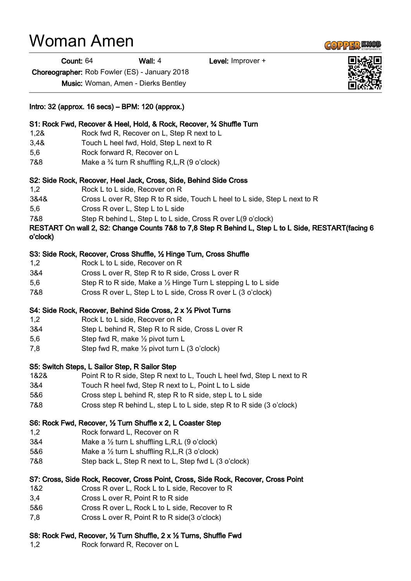## Woman Amen

Count: 64 Wall: 4 Level: Improver +

Choreographer: Rob Fowler (ES) - January 2018

Music: Woman, Amen - Dierks Bentley

| Intro: 32 (approx. 16 secs) – BPM: 120 (approx.)                                   |                                                                                                                                                                     |
|------------------------------------------------------------------------------------|---------------------------------------------------------------------------------------------------------------------------------------------------------------------|
| 1,28                                                                               | S1: Rock Fwd, Recover & Heel, Hold, & Rock, Recover, 34 Shuffle Turn<br>Rock fwd R, Recover on L, Step R next to L                                                  |
| 3,48                                                                               | Touch L heel fwd, Hold, Step L next to R                                                                                                                            |
| 5,6                                                                                | Rock forward R, Recover on L                                                                                                                                        |
| 7&8                                                                                | Make a $\frac{3}{4}$ turn R shuffling R, L, R (9 o'clock)                                                                                                           |
| S2: Side Rock, Recover, Heel Jack, Cross, Side, Behind Side Cross                  |                                                                                                                                                                     |
| 1,2                                                                                | Rock L to L side, Recover on R                                                                                                                                      |
| 3&4&                                                                               | Cross L over R, Step R to R side, Touch L heel to L side, Step L next to R                                                                                          |
| 5,6                                                                                | Cross R over L, Step L to L side                                                                                                                                    |
| 7&8                                                                                | Step R behind L, Step L to L side, Cross R over L(9 o'clock)<br>RESTART On wall 2, S2: Change Counts 7&8 to 7,8 Step R Behind L, Step L to L Side, RESTART(facing 6 |
| o'clock)                                                                           |                                                                                                                                                                     |
|                                                                                    | S3: Side Rock, Recover, Cross Shuffle, 1/2 Hinge Turn, Cross Shuffle                                                                                                |
| 1,2                                                                                | Rock L to L side, Recover on R                                                                                                                                      |
| 3&4                                                                                | Cross L over R, Step R to R side, Cross L over R                                                                                                                    |
| 5,6                                                                                | Step R to R side, Make a 1/2 Hinge Turn L stepping L to L side                                                                                                      |
| 7&8                                                                                | Cross R over L, Step L to L side, Cross R over L (3 o'clock)                                                                                                        |
| S4: Side Rock, Recover, Behind Side Cross, 2 x 1/2 Pivot Turns                     |                                                                                                                                                                     |
| 1,2                                                                                | Rock L to L side, Recover on R                                                                                                                                      |
| 3&4                                                                                | Step L behind R, Step R to R side, Cross L over R                                                                                                                   |
| 5,6                                                                                | Step fwd R, make 1/2 pivot turn L                                                                                                                                   |
| 7,8                                                                                | Step fwd R, make 1/2 pivot turn L (3 o'clock)                                                                                                                       |
| S5: Switch Steps, L Sailor Step, R Sailor Step                                     |                                                                                                                                                                     |
| 1&2&                                                                               | Point R to R side, Step R next to L, Touch L heel fwd, Step L next to R                                                                                             |
| 3&4                                                                                | Touch R heel fwd, Step R next to L, Point L to L side                                                                                                               |
| 5&6                                                                                | Cross step L behind R, step R to R side, step L to L side                                                                                                           |
| 7&8                                                                                | Cross step R behind L, step L to L side, step R to R side (3 o'clock)                                                                                               |
| S6: Rock Fwd, Recover, 1/2 Turn Shuffle x 2, L Coaster Step                        |                                                                                                                                                                     |
| 1,2                                                                                | Rock forward L, Recover on R                                                                                                                                        |
| 3&4                                                                                | Make a $\frac{1}{2}$ turn L shuffling L,R,L (9 o'clock)                                                                                                             |
| 5&6                                                                                | Make a $\frac{1}{2}$ turn L shuffling R, L, R (3 o'clock)                                                                                                           |
| 7&8                                                                                | Step back L, Step R next to L, Step fwd L (3 o'clock)                                                                                                               |
| S7: Cross, Side Rock, Recover, Cross Point, Cross, Side Rock, Recover, Cross Point |                                                                                                                                                                     |
| 1&2                                                                                | Cross R over L, Rock L to L side, Recover to R                                                                                                                      |
| 3,4                                                                                | Cross L over R, Point R to R side                                                                                                                                   |
| 5&6                                                                                | Cross R over L, Rock L to L side, Recover to R                                                                                                                      |
| 7,8                                                                                | Cross L over R, Point R to R side(3 o'clock)                                                                                                                        |

## S8: Rock Fwd, Recover, ½ Turn Shuffle, 2 x ½ Turns, Shuffle Fwd

1,2 Rock forward R, Recover on L